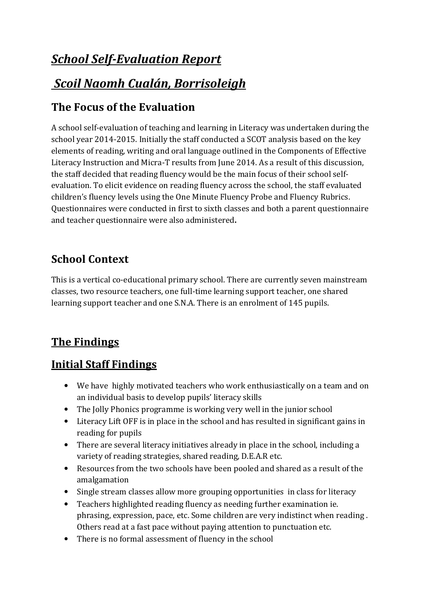# *School Self-Evaluation Report*

# *Scoil Naomh Cualán, Borrisoleigh*

## **The Focus of the Evaluation**

A school self-evaluation of teaching and learning in Literacy was undertaken during the school year 2014-2015. Initially the staff conducted a SCOT analysis based on the key elements of reading, writing and oral language outlined in the Components of Effective Literacy Instruction and Micra-T results from June 2014. As a result of this discussion, the staff decided that reading fluency would be the main focus of their school selfevaluation. To elicit evidence on reading fluency across the school, the staff evaluated children's fluency levels using the One Minute Fluency Probe and Fluency Rubrics. Questionnaires were conducted in first to sixth classes and both a parent questionnaire and teacher questionnaire were also administered**.** 

# **School Context**

This is a vertical co-educational primary school. There are currently seven mainstream classes, two resource teachers, one full-time learning support teacher, one shared learning support teacher and one S.N.A. There is an enrolment of 145 pupils.

# **The Findings**

### **Initial Staff Findings**

- We have highly motivated teachers who work enthusiastically on a team and on an individual basis to develop pupils' literacy skills
- The Jolly Phonics programme is working very well in the junior school
- Literacy Lift OFF is in place in the school and has resulted in significant gains in reading for pupils
- There are several literacy initiatives already in place in the school, including a variety of reading strategies, shared reading, D.E.A.R etc.
- Resources from the two schools have been pooled and shared as a result of the amalgamation
- Single stream classes allow more grouping opportunities in class for literacy
- Teachers highlighted reading fluency as needing further examination ie. phrasing, expression, pace, etc. Some children are very indistinct when reading . Others read at a fast pace without paying attention to punctuation etc.
- There is no formal assessment of fluency in the school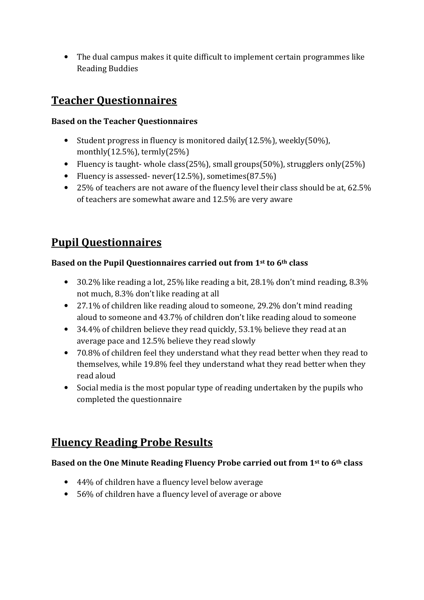• The dual campus makes it quite difficult to implement certain programmes like Reading Buddies

### **Teacher Questionnaires**

#### **Based on the Teacher Questionnaires**

- Student progress in fluency is monitored daily(12.5%), weekly(50%), monthly(12.5%), termly(25%)
- Fluency is taught- whole class(25%), small groups(50%), strugglers only(25%)
- Fluency is assessed- never(12.5%), sometimes(87.5%)
- 25% of teachers are not aware of the fluency level their class should be at, 62.5% of teachers are somewhat aware and 12.5% are very aware

# **Pupil Questionnaires**

### **Based on the Pupil Questionnaires carried out from 1st to 6th class**

- 30.2% like reading a lot, 25% like reading a bit, 28.1% don't mind reading, 8.3% not much, 8.3% don't like reading at all
- 27.1% of children like reading aloud to someone, 29.2% don't mind reading aloud to someone and 43.7% of children don't like reading aloud to someone
- 34.4% of children believe they read quickly, 53.1% believe they read at an average pace and 12.5% believe they read slowly
- 70.8% of children feel they understand what they read better when they read to themselves, while 19.8% feel they understand what they read better when they read aloud
- Social media is the most popular type of reading undertaken by the pupils who completed the questionnaire

## **Fluency Reading Probe Results**

### **Based on the One Minute Reading Fluency Probe carried out from 1st to 6th class**

- 44% of children have a fluency level below average
- 56% of children have a fluency level of average or above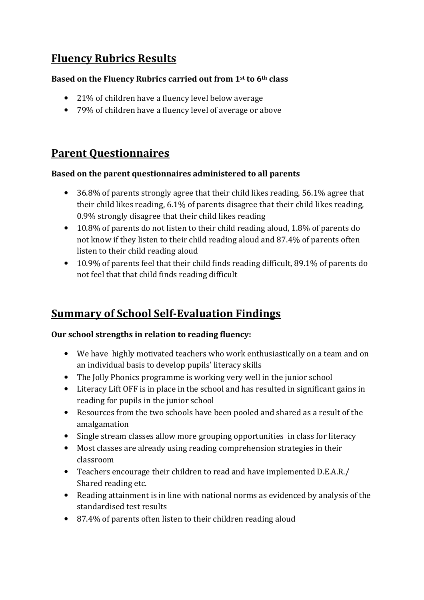### **Fluency Rubrics Results**

#### **Based on the Fluency Rubrics carried out from 1st to 6th class**

- 21% of children have a fluency level below average
- 79% of children have a fluency level of average or above

### **Parent Questionnaires**

#### **Based on the parent questionnaires administered to all parents**

- 36.8% of parents strongly agree that their child likes reading, 56.1% agree that their child likes reading, 6.1% of parents disagree that their child likes reading, 0.9% strongly disagree that their child likes reading
- 10.8% of parents do not listen to their child reading aloud, 1.8% of parents do not know if they listen to their child reading aloud and 87.4% of parents often listen to their child reading aloud
- 10.9% of parents feel that their child finds reading difficult, 89.1% of parents do not feel that that child finds reading difficult

### **Summary of School Self-Evaluation Findings**

### **Our school strengths in relation to reading fluency:**

- We have highly motivated teachers who work enthusiastically on a team and on an individual basis to develop pupils' literacy skills
- The Jolly Phonics programme is working very well in the junior school
- Literacy Lift OFF is in place in the school and has resulted in significant gains in reading for pupils in the junior school
- Resources from the two schools have been pooled and shared as a result of the amalgamation
- Single stream classes allow more grouping opportunities in class for literacy
- Most classes are already using reading comprehension strategies in their classroom
- Teachers encourage their children to read and have implemented D.E.A.R./ Shared reading etc.
- Reading attainment is in line with national norms as evidenced by analysis of the standardised test results
- 87.4% of parents often listen to their children reading aloud